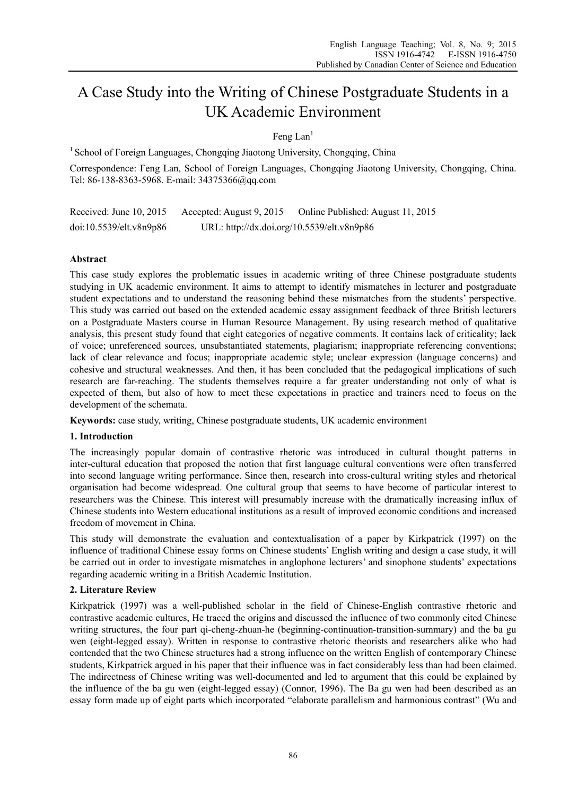# A Case Study into the Writing of Chinese Postgraduate Students in a UK Academic Environment

Feng Lan<sup>1</sup>

 $1$  School of Foreign Languages, Chongqing Jiaotong University, Chongqing, China

Correspondence: Feng Lan, School of Foreign Languages, Chongqing Jiaotong University, Chongqing, China. Tel: 86-138-8363-5968. E-mail: 34375366@qq.com

Received: June 10, 2015 Accepted: August 9, 2015 Online Published: August 11, 2015 doi:10.5539/elt.v8n9p86 URL: http://dx.doi.org/10.5539/elt.v8n9p86

## **Abstract**

This case study explores the problematic issues in academic writing of three Chinese postgraduate students studying in UK academic environment. It aims to attempt to identify mismatches in lecturer and postgraduate student expectations and to understand the reasoning behind these mismatches from the students' perspective. This study was carried out based on the extended academic essay assignment feedback of three British lecturers on a Postgraduate Masters course in Human Resource Management. By using research method of qualitative analysis, this present study found that eight categories of negative comments. It contains lack of criticality; lack of voice; unreferenced sources, unsubstantiated statements, plagiarism; inappropriate referencing conventions; lack of clear relevance and focus; inappropriate academic style; unclear expression (language concerns) and cohesive and structural weaknesses. And then, it has been concluded that the pedagogical implications of such research are far-reaching. The students themselves require a far greater understanding not only of what is expected of them, but also of how to meet these expectations in practice and trainers need to focus on the development of the schemata.

**Keywords:** case study, writing, Chinese postgraduate students, UK academic environment

## **1. Introduction**

The increasingly popular domain of contrastive rhetoric was introduced in cultural thought patterns in inter-cultural education that proposed the notion that first language cultural conventions were often transferred into second language writing performance. Since then, research into cross-cultural writing styles and rhetorical organisation had become widespread. One cultural group that seems to have become of particular interest to researchers was the Chinese. This interest will presumably increase with the dramatically increasing influx of Chinese students into Western educational institutions as a result of improved economic conditions and increased freedom of movement in China.

This study will demonstrate the evaluation and contextualisation of a paper by Kirkpatrick (1997) on the influence of traditional Chinese essay forms on Chinese students' English writing and design a case study, it will be carried out in order to investigate mismatches in anglophone lecturers' and sinophone students' expectations regarding academic writing in a British Academic Institution.

## **2. Literature Review**

Kirkpatrick (1997) was a well-published scholar in the field of Chinese-English contrastive rhetoric and contrastive academic cultures, He traced the origins and discussed the influence of two commonly cited Chinese writing structures, the four part qi-cheng-zhuan-he (beginning-continuation-transition-summary) and the ba gu wen (eight-legged essay). Written in response to contrastive rhetoric theorists and researchers alike who had contended that the two Chinese structures had a strong influence on the written English of contemporary Chinese students, Kirkpatrick argued in his paper that their influence was in fact considerably less than had been claimed. The indirectness of Chinese writing was well-documented and led to argument that this could be explained by the influence of the ba gu wen (eight-legged essay) (Connor, 1996). The Ba gu wen had been described as an essay form made up of eight parts which incorporated "elaborate parallelism and harmonious contrast" (Wu and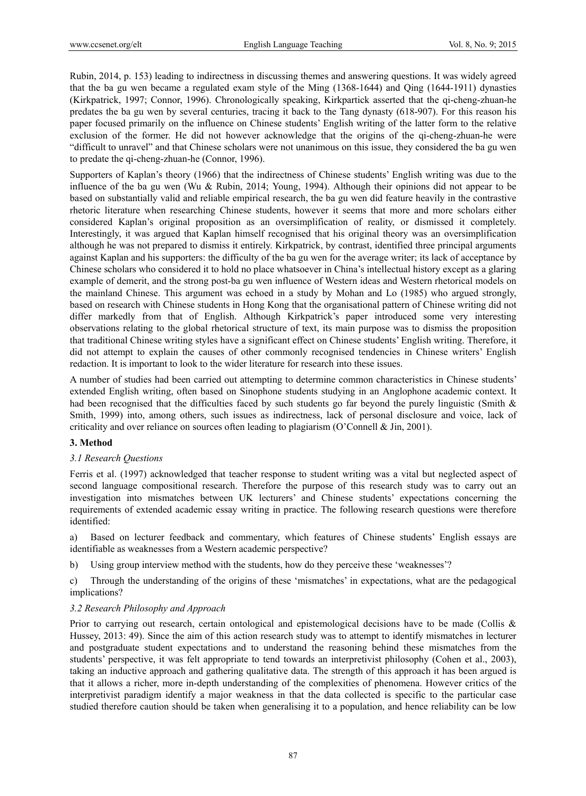Rubin, 2014, p. 153) leading to indirectness in discussing themes and answering questions. It was widely agreed that the ba gu wen became a regulated exam style of the Ming (1368-1644) and Qing (1644-1911) dynasties (Kirkpatrick, 1997; Connor, 1996). Chronologically speaking, Kirkpartick asserted that the qi-cheng-zhuan-he predates the ba gu wen by several centuries, tracing it back to the Tang dynasty (618-907). For this reason his paper focused primarily on the influence on Chinese students' English writing of the latter form to the relative exclusion of the former. He did not however acknowledge that the origins of the qi-cheng-zhuan-he were "difficult to unravel" and that Chinese scholars were not unanimous on this issue, they considered the ba gu wen to predate the qi-cheng-zhuan-he (Connor, 1996).

Supporters of Kaplan's theory (1966) that the indirectness of Chinese students' English writing was due to the influence of the ba gu wen (Wu & Rubin, 2014; Young, 1994). Although their opinions did not appear to be based on substantially valid and reliable empirical research, the ba gu wen did feature heavily in the contrastive rhetoric literature when researching Chinese students, however it seems that more and more scholars either considered Kaplan's original proposition as an oversimplification of reality, or dismissed it completely. Interestingly, it was argued that Kaplan himself recognised that his original theory was an oversimplification although he was not prepared to dismiss it entirely. Kirkpatrick, by contrast, identified three principal arguments against Kaplan and his supporters: the difficulty of the ba gu wen for the average writer; its lack of acceptance by Chinese scholars who considered it to hold no place whatsoever in China's intellectual history except as a glaring example of demerit, and the strong post-ba gu wen influence of Western ideas and Western rhetorical models on the mainland Chinese. This argument was echoed in a study by Mohan and Lo (1985) who argued strongly, based on research with Chinese students in Hong Kong that the organisational pattern of Chinese writing did not differ markedly from that of English. Although Kirkpatrick's paper introduced some very interesting observations relating to the global rhetorical structure of text, its main purpose was to dismiss the proposition that traditional Chinese writing styles have a significant effect on Chinese students' English writing. Therefore, it did not attempt to explain the causes of other commonly recognised tendencies in Chinese writers' English redaction. It is important to look to the wider literature for research into these issues.

A number of studies had been carried out attempting to determine common characteristics in Chinese students' extended English writing, often based on Sinophone students studying in an Anglophone academic context. It had been recognised that the difficulties faced by such students go far beyond the purely linguistic (Smith & Smith, 1999) into, among others, such issues as indirectness, lack of personal disclosure and voice, lack of criticality and over reliance on sources often leading to plagiarism (O'Connell & Jin, 2001).

## **3. Method**

#### *3.1 Research Questions*

Ferris et al. (1997) acknowledged that teacher response to student writing was a vital but neglected aspect of second language compositional research. Therefore the purpose of this research study was to carry out an investigation into mismatches between UK lecturers' and Chinese students' expectations concerning the requirements of extended academic essay writing in practice. The following research questions were therefore identified:

a) Based on lecturer feedback and commentary, which features of Chinese students' English essays are identifiable as weaknesses from a Western academic perspective?

b) Using group interview method with the students, how do they perceive these 'weaknesses'?

c) Through the understanding of the origins of these 'mismatches' in expectations, what are the pedagogical implications?

## *3.2 Research Philosophy and Approach*

Prior to carrying out research, certain ontological and epistemological decisions have to be made (Collis & Hussey, 2013: 49). Since the aim of this action research study was to attempt to identify mismatches in lecturer and postgraduate student expectations and to understand the reasoning behind these mismatches from the students' perspective, it was felt appropriate to tend towards an interpretivist philosophy (Cohen et al., 2003), taking an inductive approach and gathering qualitative data. The strength of this approach it has been argued is that it allows a richer, more in-depth understanding of the complexities of phenomena. However critics of the interpretivist paradigm identify a major weakness in that the data collected is specific to the particular case studied therefore caution should be taken when generalising it to a population, and hence reliability can be low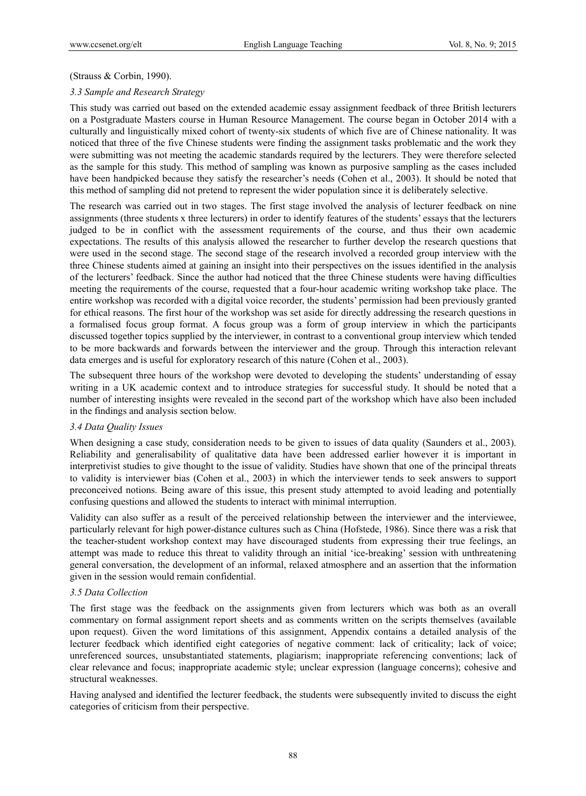#### (Strauss & Corbin, 1990).

#### *3.3 Sample and Research Strategy*

This study was carried out based on the extended academic essay assignment feedback of three British lecturers on a Postgraduate Masters course in Human Resource Management. The course began in October 2014 with a culturally and linguistically mixed cohort of twenty-six students of which five are of Chinese nationality. It was noticed that three of the five Chinese students were finding the assignment tasks problematic and the work they were submitting was not meeting the academic standards required by the lecturers. They were therefore selected as the sample for this study. This method of sampling was known as purposive sampling as the cases included have been handpicked because they satisfy the researcher's needs (Cohen et al., 2003). It should be noted that this method of sampling did not pretend to represent the wider population since it is deliberately selective.

The research was carried out in two stages. The first stage involved the analysis of lecturer feedback on nine assignments (three students x three lecturers) in order to identify features of the students' essays that the lecturers judged to be in conflict with the assessment requirements of the course, and thus their own academic expectations. The results of this analysis allowed the researcher to further develop the research questions that were used in the second stage. The second stage of the research involved a recorded group interview with the three Chinese students aimed at gaining an insight into their perspectives on the issues identified in the analysis of the lecturers' feedback. Since the author had noticed that the three Chinese students were having difficulties meeting the requirements of the course, requested that a four-hour academic writing workshop take place. The entire workshop was recorded with a digital voice recorder, the students' permission had been previously granted for ethical reasons. The first hour of the workshop was set aside for directly addressing the research questions in a formalised focus group format. A focus group was a form of group interview in which the participants discussed together topics supplied by the interviewer, in contrast to a conventional group interview which tended to be more backwards and forwards between the interviewer and the group. Through this interaction relevant data emerges and is useful for exploratory research of this nature (Cohen et al., 2003).

The subsequent three hours of the workshop were devoted to developing the students' understanding of essay writing in a UK academic context and to introduce strategies for successful study. It should be noted that a number of interesting insights were revealed in the second part of the workshop which have also been included in the findings and analysis section below.

## *3.4 Data Quality Issues*

When designing a case study, consideration needs to be given to issues of data quality (Saunders et al., 2003). Reliability and generalisability of qualitative data have been addressed earlier however it is important in interpretivist studies to give thought to the issue of validity. Studies have shown that one of the principal threats to validity is interviewer bias (Cohen et al., 2003) in which the interviewer tends to seek answers to support preconceived notions. Being aware of this issue, this present study attempted to avoid leading and potentially confusing questions and allowed the students to interact with minimal interruption.

Validity can also suffer as a result of the perceived relationship between the interviewer and the interviewee, particularly relevant for high power-distance cultures such as China (Hofstede, 1986). Since there was a risk that the teacher-student workshop context may have discouraged students from expressing their true feelings, an attempt was made to reduce this threat to validity through an initial 'ice-breaking' session with unthreatening general conversation, the development of an informal, relaxed atmosphere and an assertion that the information given in the session would remain confidential.

#### *3.5 Data Collection*

The first stage was the feedback on the assignments given from lecturers which was both as an overall commentary on formal assignment report sheets and as comments written on the scripts themselves (available upon request). Given the word limitations of this assignment, Appendix contains a detailed analysis of the lecturer feedback which identified eight categories of negative comment: lack of criticality; lack of voice; unreferenced sources, unsubstantiated statements, plagiarism; inappropriate referencing conventions; lack of clear relevance and focus; inappropriate academic style; unclear expression (language concerns); cohesive and structural weaknesses.

Having analysed and identified the lecturer feedback, the students were subsequently invited to discuss the eight categories of criticism from their perspective.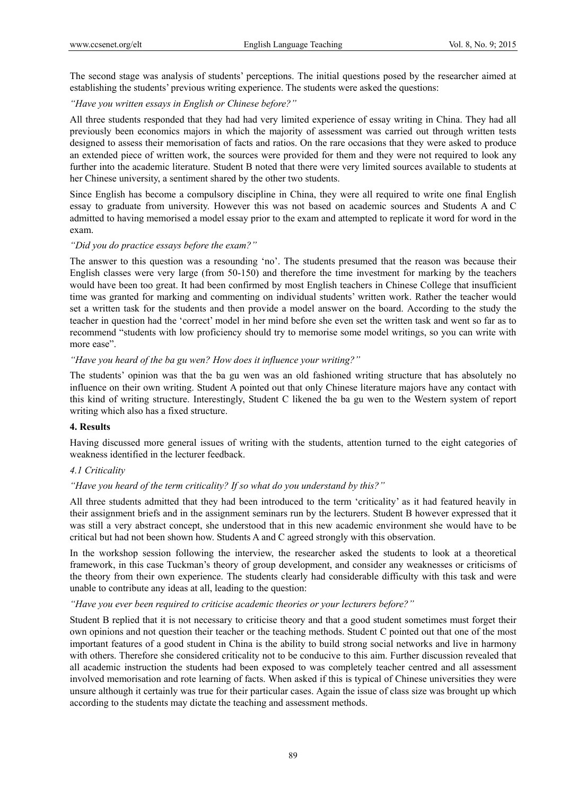The second stage was analysis of students' perceptions. The initial questions posed by the researcher aimed at establishing the students' previous writing experience. The students were asked the questions:

## *"Have you written essays in English or Chinese before?"*

All three students responded that they had had very limited experience of essay writing in China. They had all previously been economics majors in which the majority of assessment was carried out through written tests designed to assess their memorisation of facts and ratios. On the rare occasions that they were asked to produce an extended piece of written work, the sources were provided for them and they were not required to look any further into the academic literature. Student B noted that there were very limited sources available to students at her Chinese university, a sentiment shared by the other two students.

Since English has become a compulsory discipline in China, they were all required to write one final English essay to graduate from university. However this was not based on academic sources and Students A and C admitted to having memorised a model essay prior to the exam and attempted to replicate it word for word in the exam.

## *"Did you do practice essays before the exam?"*

The answer to this question was a resounding 'no'. The students presumed that the reason was because their English classes were very large (from 50-150) and therefore the time investment for marking by the teachers would have been too great. It had been confirmed by most English teachers in Chinese College that insufficient time was granted for marking and commenting on individual students' written work. Rather the teacher would set a written task for the students and then provide a model answer on the board. According to the study the teacher in question had the 'correct' model in her mind before she even set the written task and went so far as to recommend "students with low proficiency should try to memorise some model writings, so you can write with more ease".

#### *"Have you heard of the ba gu wen? How does it influence your writing?"*

The students' opinion was that the ba gu wen was an old fashioned writing structure that has absolutely no influence on their own writing. Student A pointed out that only Chinese literature majors have any contact with this kind of writing structure. Interestingly, Student C likened the ba gu wen to the Western system of report writing which also has a fixed structure.

#### **4. Results**

Having discussed more general issues of writing with the students, attention turned to the eight categories of weakness identified in the lecturer feedback.

## *4.1 Criticality*

## *"Have you heard of the term criticality? If so what do you understand by this?"*

All three students admitted that they had been introduced to the term 'criticality' as it had featured heavily in their assignment briefs and in the assignment seminars run by the lecturers. Student B however expressed that it was still a very abstract concept, she understood that in this new academic environment she would have to be critical but had not been shown how. Students A and C agreed strongly with this observation.

In the workshop session following the interview, the researcher asked the students to look at a theoretical framework, in this case Tuckman's theory of group development, and consider any weaknesses or criticisms of the theory from their own experience. The students clearly had considerable difficulty with this task and were unable to contribute any ideas at all, leading to the question:

*"Have you ever been required to criticise academic theories or your lecturers before?"* 

Student B replied that it is not necessary to criticise theory and that a good student sometimes must forget their own opinions and not question their teacher or the teaching methods. Student C pointed out that one of the most important features of a good student in China is the ability to build strong social networks and live in harmony with others. Therefore she considered criticality not to be conducive to this aim. Further discussion revealed that all academic instruction the students had been exposed to was completely teacher centred and all assessment involved memorisation and rote learning of facts. When asked if this is typical of Chinese universities they were unsure although it certainly was true for their particular cases. Again the issue of class size was brought up which according to the students may dictate the teaching and assessment methods.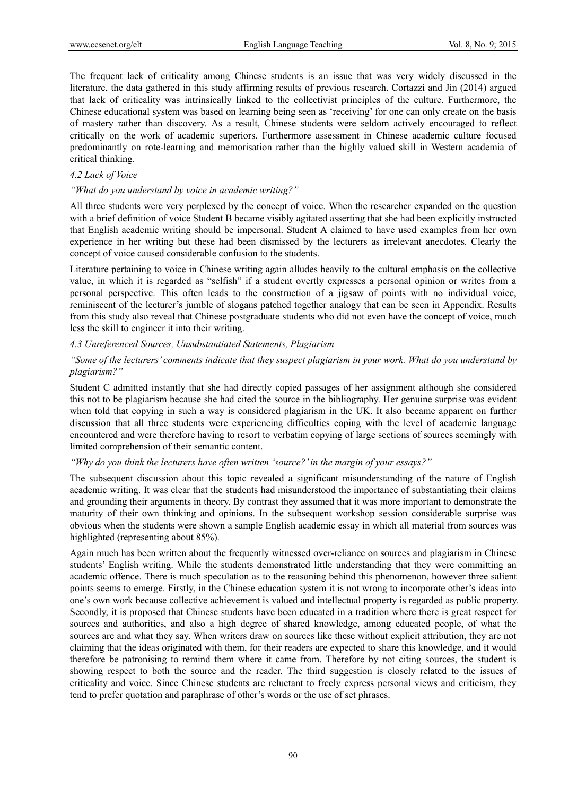The frequent lack of criticality among Chinese students is an issue that was very widely discussed in the literature, the data gathered in this study affirming results of previous research. Cortazzi and Jin (2014) argued that lack of criticality was intrinsically linked to the collectivist principles of the culture. Furthermore, the Chinese educational system was based on learning being seen as 'receiving' for one can only create on the basis of mastery rather than discovery. As a result, Chinese students were seldom actively encouraged to reflect critically on the work of academic superiors. Furthermore assessment in Chinese academic culture focused predominantly on rote-learning and memorisation rather than the highly valued skill in Western academia of critical thinking.

#### *4.2 Lack of Voice*

#### *"What do you understand by voice in academic writing?"*

All three students were very perplexed by the concept of voice. When the researcher expanded on the question with a brief definition of voice Student B became visibly agitated asserting that she had been explicitly instructed that English academic writing should be impersonal. Student A claimed to have used examples from her own experience in her writing but these had been dismissed by the lecturers as irrelevant anecdotes. Clearly the concept of voice caused considerable confusion to the students.

Literature pertaining to voice in Chinese writing again alludes heavily to the cultural emphasis on the collective value, in which it is regarded as "selfish" if a student overtly expresses a personal opinion or writes from a personal perspective. This often leads to the construction of a jigsaw of points with no individual voice, reminiscent of the lecturer's jumble of slogans patched together analogy that can be seen in Appendix. Results from this study also reveal that Chinese postgraduate students who did not even have the concept of voice, much less the skill to engineer it into their writing.

## *4.3 Unreferenced Sources, Unsubstantiated Statements, Plagiarism*

## *"Some of the lecturers' comments indicate that they suspect plagiarism in your work. What do you understand by plagiarism?"*

Student C admitted instantly that she had directly copied passages of her assignment although she considered this not to be plagiarism because she had cited the source in the bibliography. Her genuine surprise was evident when told that copying in such a way is considered plagiarism in the UK. It also became apparent on further discussion that all three students were experiencing difficulties coping with the level of academic language encountered and were therefore having to resort to verbatim copying of large sections of sources seemingly with limited comprehension of their semantic content.

## *"Why do you think the lecturers have often written 'source?' in the margin of your essays?"*

The subsequent discussion about this topic revealed a significant misunderstanding of the nature of English academic writing. It was clear that the students had misunderstood the importance of substantiating their claims and grounding their arguments in theory. By contrast they assumed that it was more important to demonstrate the maturity of their own thinking and opinions. In the subsequent workshop session considerable surprise was obvious when the students were shown a sample English academic essay in which all material from sources was highlighted (representing about 85%).

Again much has been written about the frequently witnessed over-reliance on sources and plagiarism in Chinese students' English writing. While the students demonstrated little understanding that they were committing an academic offence. There is much speculation as to the reasoning behind this phenomenon, however three salient points seems to emerge. Firstly, in the Chinese education system it is not wrong to incorporate other's ideas into one's own work because collective achievement is valued and intellectual property is regarded as public property. Secondly, it is proposed that Chinese students have been educated in a tradition where there is great respect for sources and authorities, and also a high degree of shared knowledge, among educated people, of what the sources are and what they say. When writers draw on sources like these without explicit attribution, they are not claiming that the ideas originated with them, for their readers are expected to share this knowledge, and it would therefore be patronising to remind them where it came from. Therefore by not citing sources, the student is showing respect to both the source and the reader. The third suggestion is closely related to the issues of criticality and voice. Since Chinese students are reluctant to freely express personal views and criticism, they tend to prefer quotation and paraphrase of other's words or the use of set phrases.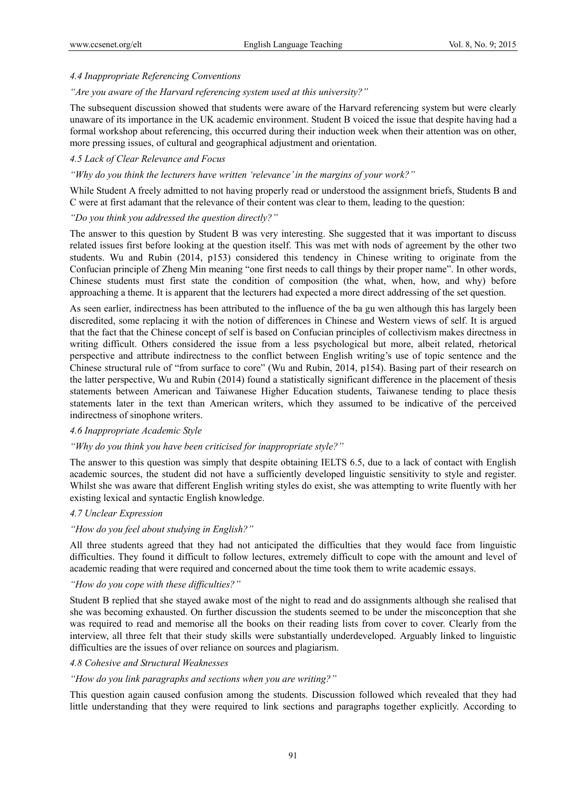#### *4.4 Inappropriate Referencing Conventions*

## *"Are you aware of the Harvard referencing system used at this university?"*

The subsequent discussion showed that students were aware of the Harvard referencing system but were clearly unaware of its importance in the UK academic environment. Student B voiced the issue that despite having had a formal workshop about referencing, this occurred during their induction week when their attention was on other, more pressing issues, of cultural and geographical adjustment and orientation.

#### *4.5 Lack of Clear Relevance and Focus*

## *"Why do you think the lecturers have written 'relevance' in the margins of your work?"*

While Student A freely admitted to not having properly read or understood the assignment briefs, Students B and C were at first adamant that the relevance of their content was clear to them, leading to the question:

#### *"Do you think you addressed the question directly?"*

The answer to this question by Student B was very interesting. She suggested that it was important to discuss related issues first before looking at the question itself. This was met with nods of agreement by the other two students. Wu and Rubin (2014, p153) considered this tendency in Chinese writing to originate from the Confucian principle of Zheng Min meaning "one first needs to call things by their proper name". In other words, Chinese students must first state the condition of composition (the what, when, how, and why) before approaching a theme. It is apparent that the lecturers had expected a more direct addressing of the set question.

As seen earlier, indirectness has been attributed to the influence of the ba gu wen although this has largely been discredited, some replacing it with the notion of differences in Chinese and Western views of self. It is argued that the fact that the Chinese concept of self is based on Confucian principles of collectivism makes directness in writing difficult. Others considered the issue from a less psychological but more, albeit related, rhetorical perspective and attribute indirectness to the conflict between English writing's use of topic sentence and the Chinese structural rule of "from surface to core" (Wu and Rubin, 2014, p154). Basing part of their research on the latter perspective, Wu and Rubin (2014) found a statistically significant difference in the placement of thesis statements between American and Taiwanese Higher Education students, Taiwanese tending to place thesis statements later in the text than American writers, which they assumed to be indicative of the perceived indirectness of sinophone writers.

#### *4.6 Inappropriate Academic Style*

## *"Why do you think you have been criticised for inappropriate style?"*

The answer to this question was simply that despite obtaining IELTS 6.5, due to a lack of contact with English academic sources, the student did not have a sufficiently developed linguistic sensitivity to style and register. Whilst she was aware that different English writing styles do exist, she was attempting to write fluently with her existing lexical and syntactic English knowledge.

## *4.7 Unclear Expression*

## *"How do you feel about studying in English?"*

All three students agreed that they had not anticipated the difficulties that they would face from linguistic difficulties. They found it difficult to follow lectures, extremely difficult to cope with the amount and level of academic reading that were required and concerned about the time took them to write academic essays.

#### *"How do you cope with these difficulties?"*

Student B replied that she stayed awake most of the night to read and do assignments although she realised that she was becoming exhausted. On further discussion the students seemed to be under the misconception that she was required to read and memorise all the books on their reading lists from cover to cover. Clearly from the interview, all three felt that their study skills were substantially underdeveloped. Arguably linked to linguistic difficulties are the issues of over reliance on sources and plagiarism.

## *4.8 Cohesive and Structural Weaknesses*

#### *"How do you link paragraphs and sections when you are writing?"*

This question again caused confusion among the students. Discussion followed which revealed that they had little understanding that they were required to link sections and paragraphs together explicitly. According to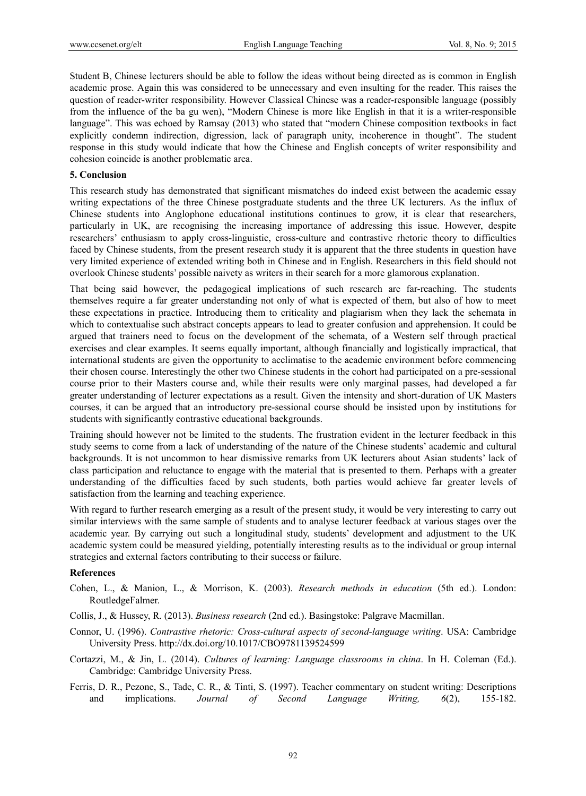Student B, Chinese lecturers should be able to follow the ideas without being directed as is common in English academic prose. Again this was considered to be unnecessary and even insulting for the reader. This raises the question of reader-writer responsibility. However Classical Chinese was a reader-responsible language (possibly from the influence of the ba gu wen), "Modern Chinese is more like English in that it is a writer-responsible language". This was echoed by Ramsay (2013) who stated that "modern Chinese composition textbooks in fact explicitly condemn indirection, digression, lack of paragraph unity, incoherence in thought". The student response in this study would indicate that how the Chinese and English concepts of writer responsibility and cohesion coincide is another problematic area.

#### **5. Conclusion**

This research study has demonstrated that significant mismatches do indeed exist between the academic essay writing expectations of the three Chinese postgraduate students and the three UK lecturers. As the influx of Chinese students into Anglophone educational institutions continues to grow, it is clear that researchers, particularly in UK, are recognising the increasing importance of addressing this issue. However, despite researchers' enthusiasm to apply cross-linguistic, cross-culture and contrastive rhetoric theory to difficulties faced by Chinese students, from the present research study it is apparent that the three students in question have very limited experience of extended writing both in Chinese and in English. Researchers in this field should not overlook Chinese students' possible naivety as writers in their search for a more glamorous explanation.

That being said however, the pedagogical implications of such research are far-reaching. The students themselves require a far greater understanding not only of what is expected of them, but also of how to meet these expectations in practice. Introducing them to criticality and plagiarism when they lack the schemata in which to contextualise such abstract concepts appears to lead to greater confusion and apprehension. It could be argued that trainers need to focus on the development of the schemata, of a Western self through practical exercises and clear examples. It seems equally important, although financially and logistically impractical, that international students are given the opportunity to acclimatise to the academic environment before commencing their chosen course. Interestingly the other two Chinese students in the cohort had participated on a pre-sessional course prior to their Masters course and, while their results were only marginal passes, had developed a far greater understanding of lecturer expectations as a result. Given the intensity and short-duration of UK Masters courses, it can be argued that an introductory pre-sessional course should be insisted upon by institutions for students with significantly contrastive educational backgrounds.

Training should however not be limited to the students. The frustration evident in the lecturer feedback in this study seems to come from a lack of understanding of the nature of the Chinese students' academic and cultural backgrounds. It is not uncommon to hear dismissive remarks from UK lecturers about Asian students' lack of class participation and reluctance to engage with the material that is presented to them. Perhaps with a greater understanding of the difficulties faced by such students, both parties would achieve far greater levels of satisfaction from the learning and teaching experience.

With regard to further research emerging as a result of the present study, it would be very interesting to carry out similar interviews with the same sample of students and to analyse lecturer feedback at various stages over the academic year. By carrying out such a longitudinal study, students' development and adjustment to the UK academic system could be measured yielding, potentially interesting results as to the individual or group internal strategies and external factors contributing to their success or failure.

#### **References**

- Cohen, L., & Manion, L., & Morrison, K. (2003). *Research methods in education* (5th ed.). London: RoutledgeFalmer.
- Collis, J., & Hussey, R. (2013). *Business research* (2nd ed.). Basingstoke: Palgrave Macmillan.
- Connor, U. (1996). *Contrastive rhetoric: Cross-cultural aspects of second-language writing*. USA: Cambridge University Press. http://dx.doi.org/10.1017/CBO9781139524599
- Cortazzi, M., & Jin, L. (2014). *Cultures of learning: Language classrooms in china*. In H. Coleman (Ed.). Cambridge: Cambridge University Press.
- Ferris, D. R., Pezone, S., Tade, C. R., & Tinti, S. (1997). Teacher commentary on student writing: Descriptions and implications. *Journal of Second Language Writing, 6*(2), 155-182.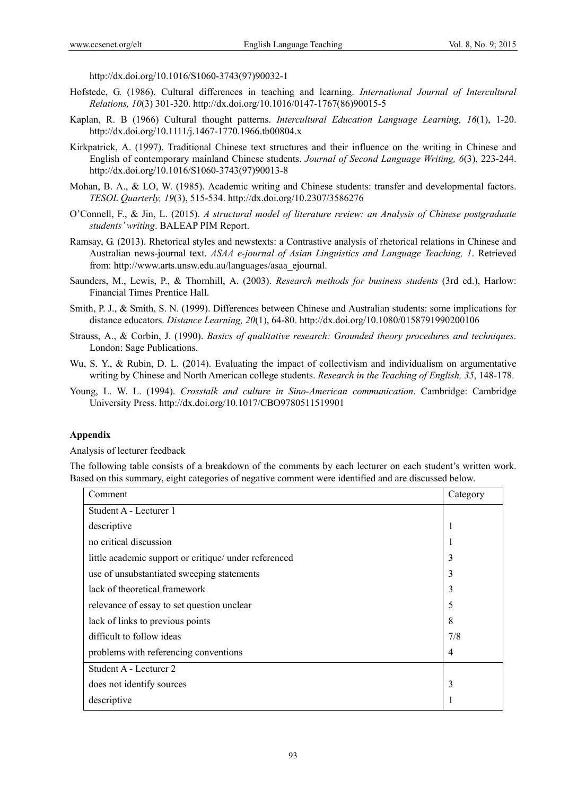http://dx.doi.org/10.1016/S1060-3743(97)90032-1

- Hofstede, G. (1986). Cultural differences in teaching and learning. *International Journal of Intercultural Relations, 10*(3) 301-320. http://dx.doi.org/10.1016/0147-1767(86)90015-5
- Kaplan, R. B (1966) Cultural thought patterns. *Intercultural Education Language Learning, 16*(1), 1-20. http://dx.doi.org/10.1111/j.1467-1770.1966.tb00804.x
- Kirkpatrick, A. (1997). Traditional Chinese text structures and their influence on the writing in Chinese and English of contemporary mainland Chinese students. *Journal of Second Language Writing, 6*(3), 223-244. http://dx.doi.org/10.1016/S1060-3743(97)90013-8
- Mohan, B. A., & LO, W. (1985). Academic writing and Chinese students: transfer and developmental factors. *TESOL Quarterly, 19*(3), 515-534. http://dx.doi.org/10.2307/3586276
- O'Connell, F., & Jin, L. (2015). *A structural model of literature review: an Analysis of Chinese postgraduate students' writing*. BALEAP PIM Report.
- Ramsay, G. (2013). Rhetorical styles and newstexts: a Contrastive analysis of rhetorical relations in Chinese and Australian news-journal text. *ASAA e-journal of Asian Linguistics and Language Teaching, 1*. Retrieved from: http://www.arts.unsw.edu.au/languages/asaa\_ejournal.
- Saunders, M., Lewis, P., & Thornhill, A. (2003). *Research methods for business students* (3rd ed.), Harlow: Financial Times Prentice Hall.
- Smith, P. J., & Smith, S. N. (1999). Differences between Chinese and Australian students: some implications for distance educators. *Distance Learning, 20*(1), 64-80. http://dx.doi.org/10.1080/0158791990200106
- Strauss, A., & Corbin, J. (1990). *Basics of qualitative research: Grounded theory procedures and techniques*. London: Sage Publications.
- Wu, S. Y., & Rubin, D. L. (2014). Evaluating the impact of collectivism and individualism on argumentative writing by Chinese and North American college students. *Research in the Teaching of English, 35*, 148-178.
- Young, L. W. L. (1994). *Crosstalk and culture in Sino-American communication*. Cambridge: Cambridge University Press. http://dx.doi.org/10.1017/CBO9780511519901

## **Appendix**

Analysis of lecturer feedback

The following table consists of a breakdown of the comments by each lecturer on each student's written work. Based on this summary, eight categories of negative comment were identified and are discussed below.

| Comment                                               | Category       |
|-------------------------------------------------------|----------------|
| Student A - Lecturer 1                                |                |
| descriptive                                           |                |
| no critical discussion                                |                |
| little academic support or critique/ under referenced | 3              |
| use of unsubstantiated sweeping statements            | 3              |
| lack of theoretical framework                         | 3              |
| relevance of essay to set question unclear            | 5              |
| lack of links to previous points                      | 8              |
| difficult to follow ideas                             | 7/8            |
| problems with referencing conventions                 | $\overline{4}$ |
| Student A - Lecturer 2                                |                |
| does not identify sources                             | 3              |
| descriptive                                           |                |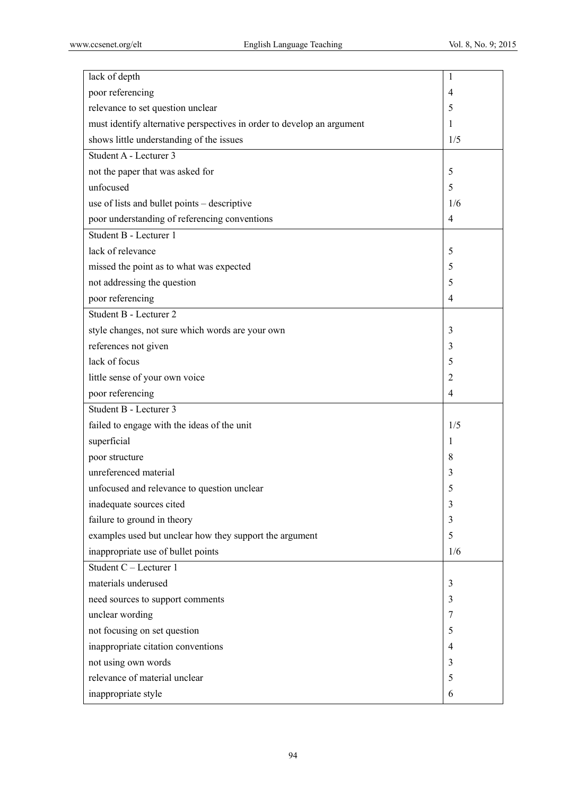| lack of depth                                                          | 1              |
|------------------------------------------------------------------------|----------------|
| poor referencing                                                       | 4              |
| relevance to set question unclear                                      | 5              |
| must identify alternative perspectives in order to develop an argument | 1              |
| shows little understanding of the issues                               | 1/5            |
| Student A - Lecturer 3                                                 |                |
| not the paper that was asked for                                       | 5              |
| unfocused                                                              | 5              |
| use of lists and bullet points - descriptive                           | 1/6            |
| poor understanding of referencing conventions                          | $\overline{4}$ |
| Student B - Lecturer 1                                                 |                |
| lack of relevance                                                      | 5              |
| missed the point as to what was expected                               | 5              |
| not addressing the question                                            | 5              |
| poor referencing                                                       | $\overline{4}$ |
| Student B - Lecturer 2                                                 |                |
| style changes, not sure which words are your own                       | 3              |
| references not given                                                   | 3              |
| lack of focus                                                          | 5              |
| little sense of your own voice                                         | $\overline{2}$ |
| poor referencing                                                       | 4              |
| Student B - Lecturer 3                                                 |                |
| failed to engage with the ideas of the unit                            | 1/5            |
| superficial                                                            | 1              |
| poor structure                                                         | 8              |
| unreferenced material                                                  | 3              |
| unfocused and relevance to question unclear                            | 5              |
| inadequate sources cited                                               | 3              |
| failure to ground in theory                                            | 3              |
| examples used but unclear how they support the argument                | 5              |
| inappropriate use of bullet points                                     | 1/6            |
| Student C - Lecturer 1                                                 |                |
| materials underused                                                    | 3              |
| need sources to support comments                                       | 3              |
| unclear wording                                                        | 7              |
| not focusing on set question                                           | 5              |
| inappropriate citation conventions                                     | 4              |
| not using own words                                                    | 3              |
| relevance of material unclear                                          | 5              |
| inappropriate style                                                    | 6              |